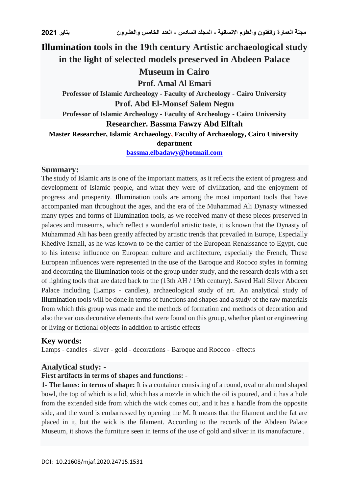# **Illumination tools in the 19th century Artistic archaeological study in the light of selected models preserved in Abdeen Palace Museum in Cairo Prof. Amal Al Emari Professor of Islamic Archeology - Faculty of Archeology - Cairo University Prof. Abd El-Monsef Salem Negm Professor of Islamic Archeology - Faculty of Archeology - Cairo University Researcher. Bassma Fawzy Abd Elftah**

**Master Researcher, Islamic Archaeology, Faculty of Archaeology, Cairo University department**

#### **[bassma.elbadawy@hotmail.com](mailto:bassma.elbadawy@hotmail.com)**

#### **Summary:**

The study of Islamic arts is one of the important matters, as it reflects the extent of progress and development of Islamic people, and what they were of civilization, and the enjoyment of progress and prosperity. Illumination tools are among the most important tools that have accompanied man throughout the ages, and the era of the Muhammad Ali Dynasty witnessed many types and forms of Illumination tools, as we received many of these pieces preserved in palaces and museums, which reflect a wonderful artistic taste, it is known that the Dynasty of Muhammad Ali has been greatly affected by artistic trends that prevailed in Europe, Especially Khedive Ismail, as he was known to be the carrier of the European Renaissance to Egypt, due to his intense influence on European culture and architecture, especially the French, These European influences were represented in the use of the Baroque and Rococo styles in forming and decorating the Illumination tools of the group under study, and the research deals with a set of lighting tools that are dated back to the (13th AH / 19th century). Saved Hall Silver Abdeen Palace including (Lamps - candles), archaeological study of art. An analytical study of Illumination tools will be done in terms of functions and shapes and a study of the raw materials from which this group was made and the methods of formation and methods of decoration and also the various decorative elements that were found on this group, whether plant or engineering or living or fictional objects in addition to artistic effects

# **Key words:**

Lamps - candles - silver - gold - decorations - Baroque and Rococo - effects

# **Analytical study: -**

#### **First artifacts in terms of shapes and functions: -**

**1- The lanes: in terms of shape:** It is a container consisting of a round, oval or almond shaped bowl, the top of which is a lid, which has a nozzle in which the oil is poured, and it has a hole from the extended side from which the wick comes out, and it has a handle from the opposite side, and the word is embarrassed by opening the M. It means that the filament and the fat are placed in it, but the wick is the filament. According to the records of the Abdeen Palace Museum, it shows the furniture seen in terms of the use of gold and silver in its manufacture .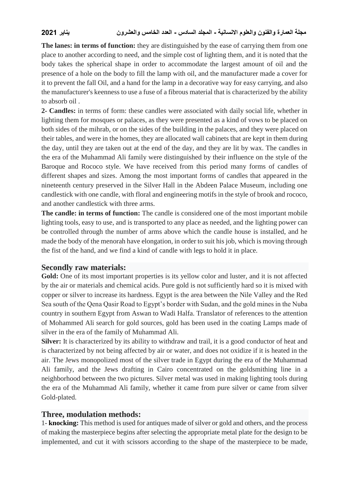**The lanes: in terms of function:** they are distinguished by the ease of carrying them from one place to another according to need, and the simple cost of lighting them, and it is noted that the body takes the spherical shape in order to accommodate the largest amount of oil and the presence of a hole on the body to fill the lamp with oil, and the manufacturer made a cover for it to prevent the fall Oil, and a hand for the lamp in a decorative way for easy carrying, and also the manufacturer's keenness to use a fuse of a fibrous material that is characterized by the ability to absorb oil .

**2- Candles:** in terms of form: these candles were associated with daily social life, whether in lighting them for mosques or palaces, as they were presented as a kind of vows to be placed on both sides of the mihrab, or on the sides of the building in the palaces, and they were placed on their tables, and were in the homes, they are allocated wall cabinets that are kept in them during the day, until they are taken out at the end of the day, and they are lit by wax. The candles in the era of the Muhammad Ali family were distinguished by their influence on the style of the Baroque and Rococo style. We have received from this period many forms of candles of different shapes and sizes. Among the most important forms of candles that appeared in the nineteenth century preserved in the Silver Hall in the Abdeen Palace Museum, including one candlestick with one candle, with floral and engineering motifs in the style of brook and rococo, and another candlestick with three arms.

**The candle: in terms of function:** The candle is considered one of the most important mobile lighting tools, easy to use, and is transported to any place as needed, and the lighting power can be controlled through the number of arms above which the candle house is installed, and he made the body of the menorah have elongation, in order to suit his job, which is moving through the fist of the hand, and we find a kind of candle with legs to hold it in place.

# **Secondly raw materials:**

Gold: One of its most important properties is its yellow color and luster, and it is not affected by the air or materials and chemical acids. Pure gold is not sufficiently hard so it is mixed with copper or silver to increase its hardness. Egypt is the area between the Nile Valley and the Red Sea south of the Qena Qasir Road to Egypt's border with Sudan, and the gold mines in the Nuba country in southern Egypt from Aswan to Wadi Halfa. Translator of references to the attention of Mohammed Ali search for gold sources, gold has been used in the coating Lamps made of silver in the era of the family of Muhammad Ali.

**Silver:** It is characterized by its ability to withdraw and trail, it is a good conductor of heat and is characterized by not being affected by air or water, and does not oxidize if it is heated in the air. The Jews monopolized most of the silver trade in Egypt during the era of the Muhammad Ali family, and the Jews drafting in Cairo concentrated on the goldsmithing line in a neighborhood between the two pictures. Silver metal was used in making lighting tools during the era of the Muhammad Ali family, whether it came from pure silver or came from silver Gold-plated.

# **Three, modulation methods:**

1- **knocking:** This method is used for antiques made of silver or gold and others, and the process of making the masterpiece begins after selecting the appropriate metal plate for the design to be implemented, and cut it with scissors according to the shape of the masterpiece to be made,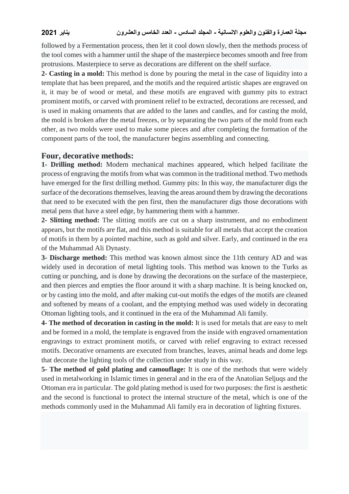followed by a Fermentation process, then let it cool down slowly, then the methods process of the tool comes with a hammer until the shape of the masterpiece becomes smooth and free from protrusions. Masterpiece to serve as decorations are different on the shelf surface.

**2- Casting in a mold:** This method is done by pouring the metal in the case of liquidity into a template that has been prepared, and the motifs and the required artistic shapes are engraved on it, it may be of wood or metal, and these motifs are engraved with gummy pits to extract prominent motifs, or carved with prominent relief to be extracted, decorations are recessed, and is used in making ornaments that are added to the lanes and candles, and for casting the mold, the mold is broken after the metal freezes, or by separating the two parts of the mold from each other, as two molds were used to make some pieces and after completing the formation of the component parts of the tool, the manufacturer begins assembling and connecting.

#### **Four, decorative methods:**

**1- Drilling method:** Modern mechanical machines appeared, which helped facilitate the process of engraving the motifs from what was common in the traditional method. Two methods have emerged for the first drilling method. Gummy pits: In this way, the manufacturer digs the surface of the decorations themselves, leaving the areas around them by drawing the decorations that need to be executed with the pen first, then the manufacturer digs those decorations with metal pens that have a steel edge, by hammering them with a hammer.

**2- Slitting method:** The slitting motifs are cut on a sharp instrument, and no embodiment appears, but the motifs are flat, and this method is suitable for all metals that accept the creation of motifs in them by a pointed machine, such as gold and silver. Early, and continued in the era of the Muhammad Ali Dynasty.

**3- Discharge method:** This method was known almost since the 11th century AD and was widely used in decoration of metal lighting tools. This method was known to the Turks as cutting or punching, and is done by drawing the decorations on the surface of the masterpiece, and then pierces and empties the floor around it with a sharp machine. It is being knocked on, or by casting into the mold, and after making cut-out motifs the edges of the motifs are cleaned and softened by means of a coolant, and the emptying method was used widely in decorating Ottoman lighting tools, and it continued in the era of the Muhammad Ali family.

**4- The method of decoration in casting in the mold:** It is used for metals that are easy to melt and be formed in a mold, the template is engraved from the inside with engraved ornamentation engravings to extract prominent motifs, or carved with relief engraving to extract recessed motifs. Decorative ornaments are executed from branches, leaves, animal heads and dome legs that decorate the lighting tools of the collection under study in this way.

**5- The method of gold plating and camouflage:** It is one of the methods that were widely used in metalworking in Islamic times in general and in the era of the Anatolian Seljuqs and the Ottoman era in particular. The gold plating method is used for two purposes: the first is aesthetic and the second is functional to protect the internal structure of the metal, which is one of the methods commonly used in the Muhammad Ali family era in decoration of lighting fixtures.